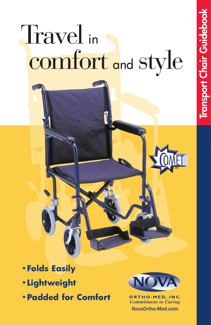# Travel in comfort and style

- **•Lightweight**
- **•Padded for Comfort**



**ORTHO-MED, INC.** *Commitment to Caring* **NovaOrtho-Med.com**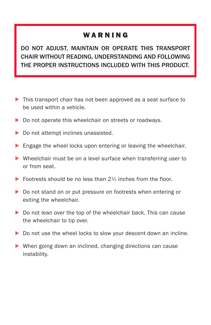#### WARNING

**DO NOT ADJUST, MAINTAIN OR OPERATE THIS TRANSPORT CHAIR WITHOUT READING, UNDERSTANDING AND FOLLOWING THE PROPER INSTRUCTIONS INCLUDED WITH THIS PRODUCT.**

- ▶ This transport chair has not been approved as a seat surface to be used within a vehicle.
- Do not operate this wheelchair on streets or roadways.
- ▶ Do not attempt inclines unassisted.
- **Engage the wheel locks upon entering or leaving the wheelchair.**
- Wheelchair must be on a level surface when transferring user to or from seat.
- $\triangleright$  Footrests should be no less than 2<sup>1/2</sup> inches from the floor.
- Do not stand on or put pressure on footrests when entering or exiting the wheelchair.
- Do not lean over the top of the wheelchair back. This can cause the wheelchair to tip over.
- Do not use the wheel locks to slow your descent down an incline.
- ▶ When going down an inclined, changing directions can cause instability.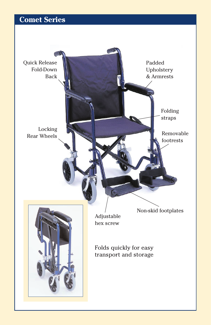## **Comet Series**

Quick Release Fold-Down Back

> Locking Rear Wheels

> > Adjustable hex screw

Folds quickly for easy transport and storage Folding straps

Non-skid footplates

Padded Upholstery & Armrests

> Removable footrests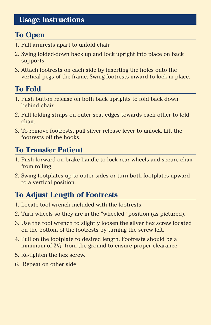#### **Usage Instructions**

# **To Open**

- 1. Pull armrests apart to unfold chair.
- 2. Swing folded-down back up and lock upright into place on back supports.
- 3. Attach footrests on each side by inserting the holes onto the vertical pegs of the frame. Swing footrests inward to lock in place.

# **To Fold**

- 1. Push button release on both back uprights to fold back down behind chair.
- 2. Pull folding straps on outer seat edges towards each other to fold chair.
- 3. To remove footrests, pull silver release lever to unlock. Lift the footrests off the hooks.

# **To Transfer Patient**

- 1. Push forward on brake handle to lock rear wheels and secure chair from rolling.
- 2. Swing footplates up to outer sides or turn both footplates upward to a vertical position.

# **To Adjust Length of Footrests**

- 1. Locate tool wrench included with the footrests.
- 2. Turn wheels so they are in the "wheeled" position (as pictured).
- 3. Use the tool wrench to slightly loosen the silver hex screw located on the bottom of the footrests by turning the screw left.
- 4. Pull on the footplate to desired length. Footrests should be a minimum of  $2\frac{1}{2}$ " from the ground to ensure proper clearance.
- 5. Re-tighten the hex screw.
- 6. Repeat on other side.